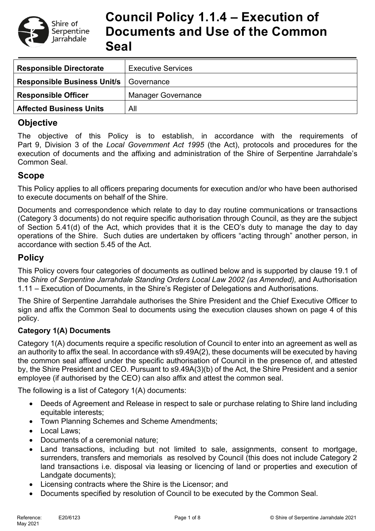

# **Council Policy 1.1.4 – Execution of Documents and Use of the Common Seal**

| <b>Responsible Directorate</b>     | <b>Executive Services</b> |  |  |
|------------------------------------|---------------------------|--|--|
| <b>Responsible Business Unit/s</b> | Governance                |  |  |
| <b>Responsible Officer</b>         | <b>Manager Governance</b> |  |  |
| <b>Affected Business Units</b>     | All                       |  |  |

## **Objective**

The objective of this Policy is to establish, in accordance with the requirements of Part 9, Division 3 of the *Local Government Act 1995* (the Act), protocols and procedures for the execution of documents and the affixing and administration of the Shire of Serpentine Jarrahdale's Common Seal.

### **Scope**

This Policy applies to all officers preparing documents for execution and/or who have been authorised to execute documents on behalf of the Shire.

Documents and correspondence which relate to day to day routine communications or transactions (Category 3 documents) do not require specific authorisation through Council, as they are the subject of Section 5.41(d) of the Act, which provides that it is the CEO's duty to manage the day to day operations of the Shire. Such duties are undertaken by officers "acting through" another person, in accordance with section 5.45 of the Act.

### **Policy**

This Policy covers four categories of documents as outlined below and is supported by clause 19.1 of the *Shire of Serpentine Jarrahdale Standing Orders Local Law 2002 (as Amended),* and Authorisation 1.11 – Execution of Documents, in the Shire's Register of Delegations and Authorisations.

The Shire of Serpentine Jarrahdale authorises the Shire President and the Chief Executive Officer to sign and affix the Common Seal to documents using the execution clauses shown on page 4 of this policy.

### **Category 1(A) Documents**

Category 1(A) documents require a specific resolution of Council to enter into an agreement as well as an authority to affix the seal. In accordance with s9.49A(2), these documents will be executed by having the common seal affixed under the specific authorisation of Council in the presence of, and attested by, the Shire President and CEO. Pursuant to s9.49A(3)(b) of the Act, the Shire President and a senior employee (if authorised by the CEO) can also affix and attest the common seal.

The following is a list of Category 1(A) documents:

- Deeds of Agreement and Release in respect to sale or purchase relating to Shire land including equitable interests;
- Town Planning Schemes and Scheme Amendments;
- Local Laws;
- Documents of a ceremonial nature;
- Land transactions, including but not limited to sale, assignments, consent to mortgage, surrenders, transfers and memorials as resolved by Council (this does not include Category 2 land transactions i.e. disposal via leasing or licencing of land or properties and execution of Landgate documents);
- Licensing contracts where the Shire is the Licensor; and
- Documents specified by resolution of Council to be executed by the Common Seal.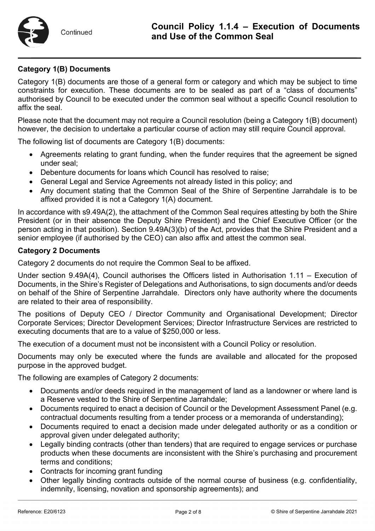### **Category 1(B) Documents**

Category 1(B) documents are those of a general form or category and which may be subject to time constraints for execution. These documents are to be sealed as part of a "class of documents" authorised by Council to be executed under the common seal without a specific Council resolution to affix the seal.

Please note that the document may not require a Council resolution (being a Category 1(B) document) however, the decision to undertake a particular course of action may still require Council approval.

The following list of documents are Category 1(B) documents:

- Agreements relating to grant funding, when the funder requires that the agreement be signed under seal;
- Debenture documents for loans which Council has resolved to raise;
- General Legal and Service Agreements not already listed in this policy; and
- Any document stating that the Common Seal of the Shire of Serpentine Jarrahdale is to be affixed provided it is not a Category 1(A) document.

In accordance with s9.49A(2), the attachment of the Common Seal requires attesting by both the Shire President (or in their absence the Deputy Shire President) and the Chief Executive Officer (or the person acting in that position). Section 9.49A(3)(b) of the Act, provides that the Shire President and a senior employee (if authorised by the CEO) can also affix and attest the common seal.

#### **Category 2 Documents**

Category 2 documents do not require the Common Seal to be affixed.

Under section 9.49A(4), Council authorises the Officers listed in Authorisation 1.11 – Execution of Documents, in the Shire's Register of Delegations and Authorisations, to sign documents and/or deeds on behalf of the Shire of Serpentine Jarrahdale. Directors only have authority where the documents are related to their area of responsibility.

The positions of Deputy CEO / Director Community and Organisational Development; Director Corporate Services; Director Development Services; Director Infrastructure Services are restricted to executing documents that are to a value of \$250,000 or less.

The execution of a document must not be inconsistent with a Council Policy or resolution.

Documents may only be executed where the funds are available and allocated for the proposed purpose in the approved budget.

The following are examples of Category 2 documents:

- Documents and/or deeds required in the management of land as a landowner or where land is a Reserve vested to the Shire of Serpentine Jarrahdale;
- Documents required to enact a decision of Council or the Development Assessment Panel (e.g. contractual documents resulting from a tender process or a memoranda of understanding);
- Documents required to enact a decision made under delegated authority or as a condition or approval given under delegated authority;
- Legally binding contracts (other than tenders) that are required to engage services or purchase products when these documents are inconsistent with the Shire's purchasing and procurement terms and conditions;
- Contracts for incoming grant funding
- Other legally binding contracts outside of the normal course of business (e.g. confidentiality, indemnity, licensing, novation and sponsorship agreements); and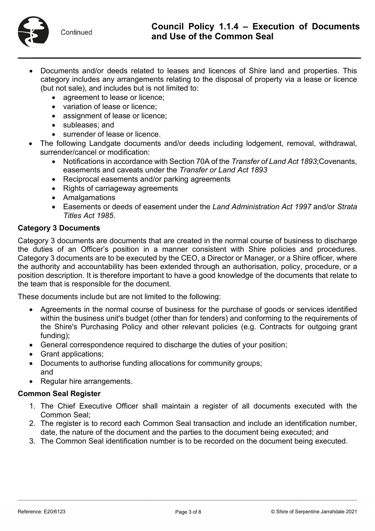- Documents and/or deeds related to leases and licences of Shire land and properties. This category includes any arrangements relating to the disposal of property via a lease or licence (but not sale), and includes but is not limited to:
	- agreement to lease or licence:
	- variation of lease or licence;
	- assignment of lease or licence;
	- subleases; and
	- surrender of lease or licence.
- The following Landgate documents and/or deeds including lodgement, removal, withdrawal, surrender/cancel or modification:
	- Notifications in accordance with Section 70A of the *Transfer of Land Act 1893*;Covenants, easements and caveats under the *Transfer or Land Act 1893*
	- Reciprocal easements and/or parking agreements
	- Rights of carriageway agreements
	- Amalgamations
	- Easements or deeds of easement under the *Land Administration Act 1997* and/or *Strata Titles Act 1985*.

#### **Category 3 Documents**

Category 3 documents are documents that are created in the normal course of business to discharge the duties of an Officer's position in a manner consistent with Shire policies and procedures. Category 3 documents are to be executed by the CEO, a Director or Manager, or a Shire officer, where the authority and accountability has been extended through an authorisation, policy, procedure, or a position description. It is therefore important to have a good knowledge of the documents that relate to the team that is responsible for the document.

These documents include but are not limited to the following:

- Agreements in the normal course of business for the purchase of goods or services identified within the business unit's budget (other than for tenders) and conforming to the requirements of the Shire's Purchasing Policy and other relevant policies (e.g. Contracts for outgoing grant funding);
- General correspondence required to discharge the duties of your position;
- Grant applications;
- Documents to authorise funding allocations for community groups; and
- Regular hire arrangements.

#### **Common Seal Register**

- 1. The Chief Executive Officer shall maintain a register of all documents executed with the Common Seal;
- 2. The register is to record each Common Seal transaction and include an identification number, date, the nature of the document and the parties to the document being executed; and
- 3. The Common Seal identification number is to be recorded on the document being executed.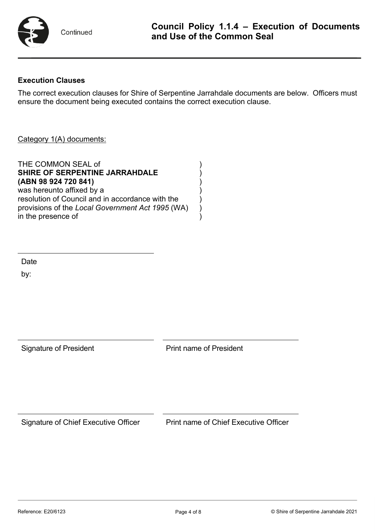

#### **Execution Clauses**

The correct execution clauses for Shire of Serpentine Jarrahdale documents are below. Officers must ensure the document being executed contains the correct execution clause.

#### Category 1(A) documents:

THE COMMON SEAL of **SHIRE OF SERPENTINE JARRAHDALE** ) **(ABN 98 924 720 841)** ) was hereunto affixed by a resolution of Council and in accordance with the ) provisions of the *Local Government Act 1995* (WA) ) in the presence of

Date

by:

| <b>Signature of President</b> | <b>Print name of President</b> |  |  |
|-------------------------------|--------------------------------|--|--|
|                               |                                |  |  |
|                               |                                |  |  |
|                               |                                |  |  |

Signature of Chief Executive Officer Print name of Chief Executive Officer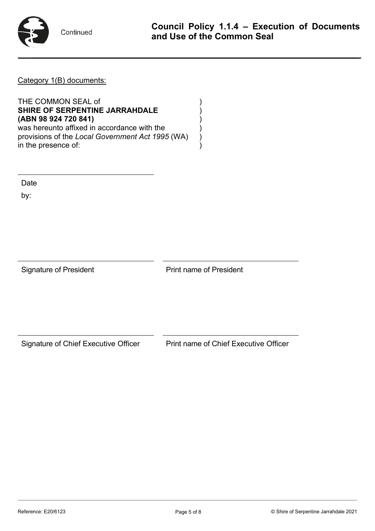

Continued

Category 1(B) documents:

THE COMMON SEAL of ) **SHIRE OF SERPENTINE JARRAHDALE** ) **(ABN 98 924 720 841)** ) was hereunto affixed in accordance with the provisions of the *Local Government Act 1995* (WA) ) in the presence of:

Date

by:

Signature of President **Print name of President** 

Signature of Chief Executive Officer Print name of Chief Executive Officer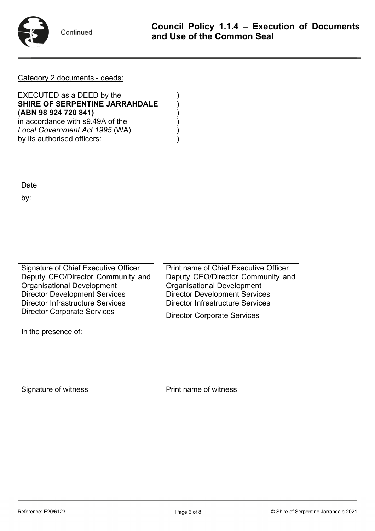

Continued

Category 2 documents - deeds:

EXECUTED as a DEED by the **SHIRE OF SERPENTINE JARRAHDALE** ) **(ABN 98 924 720 841)** ) in accordance with s9.49A of the *Local Government Act 1995* (WA) ) by its authorised officers:

**Date** 

by:

Signature of Chief Executive Officer Deputy CEO/Director Community and Organisational Development Director Development Services Director Infrastructure Services Director Corporate Services

In the presence of:

Print name of Chief Executive Officer Deputy CEO/Director Community and Organisational Development Director Development Services Director Infrastructure Services

Director Corporate Services

Signature of witness **Print name of witness**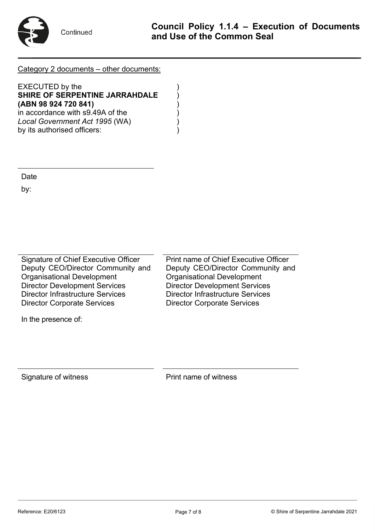

Continued

Category 2 documents – other documents:

EXECUTED by the **SHIRE OF SERPENTINE JARRAHDALE** ) **(ABN 98 924 720 841)** ) in accordance with s9.49A of the *Local Government Act 1995* (WA) ) by its authorised officers:

Date

by:

Signature of Chief Executive Officer Deputy CEO/Director Community and Organisational Development Director Development Services Director Infrastructure Services Director Corporate Services

In the presence of:

Print name of Chief Executive Officer Deputy CEO/Director Community and Organisational Development Director Development Services Director Infrastructure Services Director Corporate Services

Signature of witness **Print name of witness**